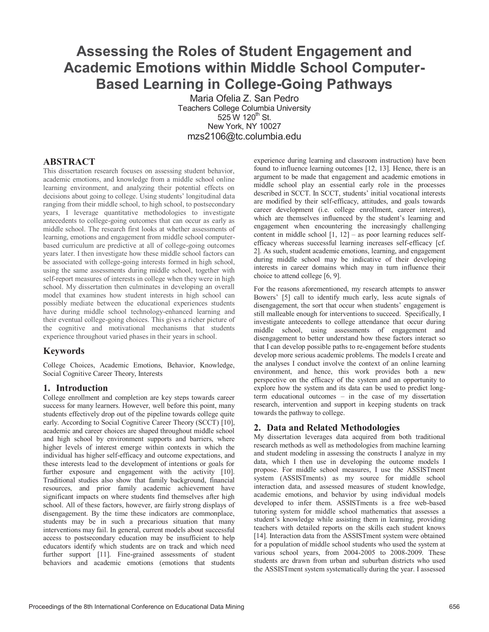# **Assessing the Roles of Student Engagement and Academic Emotions within Middle School Computer-Based Learning in College-Going Pathways**

Maria Ofelia Z. San Pedro Teachers College Columbia University  $525 W 120^{th}$  St. New York, NY 10027 mzs2106@tc.columbia.edu

### **ABSTRACT**

This dissertation research focuses on assessing student behavior, academic emotions, and knowledge from a middle school online learning environment, and analyzing their potential effects on decisions about going to college. Using students' longitudinal data ranging from their middle school, to high school, to postsecondary years, I leverage quantitative methodologies to investigate antecedents to college-going outcomes that can occur as early as middle school. The research first looks at whether assessments of learning, emotions and engagement from middle school computerbased curriculum are predictive at all of college-going outcomes years later. I then investigate how these middle school factors can be associated with college-going interests formed in high school, using the same assessments during middle school, together with self-report measures of interests in college when they were in high school. My dissertation then culminates in developing an overall model that examines how student interests in high school can possibly mediate between the educational experiences students have during middle school technology-enhanced learning and their eventual college-going choices. This gives a richer picture of the cognitive and motivational mechanisms that students experience throughout varied phases in their years in school.

#### **Keywords**

College Choices, Academic Emotions, Behavior, Knowledge, Social Cognitive Career Theory, Interests

# **1. Introduction**

College enrollment and completion are key steps towards career success for many learners. However, well before this point, many students effectively drop out of the pipeline towards college quite early. According to Social Cognitive Career Theory (SCCT) [10], academic and career choices are shaped throughout middle school and high school by environment supports and barriers, where higher levels of interest emerge within contexts in which the individual has higher self-efficacy and outcome expectations, and these interests lead to the development of intentions or goals for further exposure and engagement with the activity [10]. Traditional studies also show that family background, financial resources, and prior family academic achievement have significant impacts on where students find themselves after high school. All of these factors, however, are fairly strong displays of disengagement. By the time these indicators are commonplace, students may be in such a precarious situation that many interventions may fail. In general, current models about successful access to postsecondary education may be insufficient to help educators identify which students are on track and which need further support [11]. Fine-grained assessments of student behaviors and academic emotions (emotions that students

experience during learning and classroom instruction) have been found to influence learning outcomes [12, 13]. Hence, there is an argument to be made that engagement and academic emotions in middle school play an essential early role in the processes described in SCCT. In SCCT, students' initial vocational interests are modified by their self-efficacy, attitudes, and goals towards career development (i.e. college enrollment, career interest), which are themselves influenced by the student's learning and engagement when encountering the increasingly challenging content in middle school  $[1, 12]$  – as poor learning reduces selfefficacy whereas successful learning increases self-efficacy [cf. 2]. As such, student academic emotions, learning, and engagement during middle school may be indicative of their developing interests in career domains which may in turn influence their choice to attend college [6, 9].

For the reasons aforementioned, my research attempts to answer Bowers' [5] call to identify much early, less acute signals of disengagement, the sort that occur when students' engagement is still malleable enough for interventions to succeed. Specifically, I investigate antecedents to college attendance that occur during middle school, using assessments of engagement and disengagement to better understand how these factors interact so that I can develop possible paths to re-engagement before students develop more serious academic problems. The models I create and the analyses I conduct involve the context of an online learning environment, and hence, this work provides both a new perspective on the efficacy of the system and an opportunity to explore how the system and its data can be used to predict longterm educational outcomes – in the case of my dissertation research, intervention and support in keeping students on track towards the pathway to college.

# **2. Data and Related Methodologies**

My dissertation leverages data acquired from both traditional research methods as well as methodologies from machine learning and student modeling in assessing the constructs I analyze in my data, which I then use in developing the outcome models I propose. For middle school measures, I use the ASSISTment system (ASSISTments) as my source for middle school interaction data, and assessed measures of student knowledge, academic emotions, and behavior by using individual models developed to infer them. ASSISTments is a free web-based tutoring system for middle school mathematics that assesses a student's knowledge while assisting them in learning, providing teachers with detailed reports on the skills each student knows [14]. Interaction data from the ASSISTment system were obtained for a population of middle school students who used the system at various school years, from 2004-2005 to 2008-2009. These students are drawn from urban and suburban districts who used the ASSISTment system systematically during the year. I assessed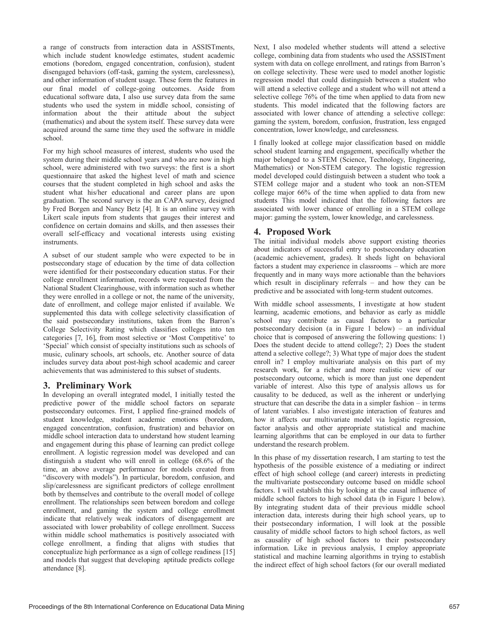a range of constructs from interaction data in ASSISTments, which include student knowledge estimates, student academic emotions (boredom, engaged concentration, confusion), student disengaged behaviors (off-task, gaming the system, carelessness), and other information of student usage. These form the features in our final model of college-going outcomes. Aside from educational software data, I also use survey data from the same students who used the system in middle school, consisting of information about the their attitude about the subject (mathematics) and about the system itself. These survey data were acquired around the same time they used the software in middle school.

For my high school measures of interest, students who used the system during their middle school years and who are now in high school, were administered with two surveys: the first is a short questionnaire that asked the highest level of math and science courses that the student completed in high school and asks the student what his/her educational and career plans are upon graduation. The second survey is the an CAPA survey, designed by Fred Borgen and Nancy Betz [4]. It is an online survey with Likert scale inputs from students that gauges their interest and confidence on certain domains and skills, and then assesses their overall self-efficacy and vocational interests using existing instruments.

A subset of our student sample who were expected to be in postsecondary stage of education by the time of data collection were identified for their postsecondary education status. For their college enrollment information, records were requested from the National Student Clearinghouse, with information such as whether they were enrolled in a college or not, the name of the university, date of enrollment, and college major enlisted if available. We supplemented this data with college selectivity classification of the said postsecondary institutions, taken from the Barron's College Selectivity Rating which classifies colleges into ten categories [7, 16], from most selective or 'Most Competitive' to 'Special' which consist of specialty institutions such as schools of music, culinary schools, art schools, etc. Another source of data includes survey data about post-high school academic and career achievements that was administered to this subset of students.

#### **3. Preliminary Work**

In developing an overall integrated model, I initially tested the predictive power of the middle school factors on separate postsecondary outcomes. First, I applied fine-grained models of student knowledge, student academic emotions (boredom, engaged concentration, confusion, frustration) and behavior on middle school interaction data to understand how student learning and engagement during this phase of learning can predict college enrollment. A logistic regression model was developed and can distinguish a student who will enroll in college (68.6% of the time, an above average performance for models created from "discovery with models"). In particular, boredom, confusion, and slip/carelessness are significant predictors of college enrollment both by themselves and contribute to the overall model of college enrollment. The relationships seen between boredom and college enrollment, and gaming the system and college enrollment indicate that relatively weak indicators of disengagement are associated with lower probability of college enrollment. Success within middle school mathematics is positively associated with college enrollment, a finding that aligns with studies that conceptualize high performance as a sign of college readiness [15] and models that suggest that developing aptitude predicts college attendance [8].

Next, I also modeled whether students will attend a selective college, combining data from students who used the ASSISTment system with data on college enrollment, and ratings from Barron's on college selectivity. These were used to model another logistic regression model that could distinguish between a student who will attend a selective college and a student who will not attend a selective college 76% of the time when applied to data from new students. This model indicated that the following factors are associated with lower chance of attending a selective college: gaming the system, boredom, confusion, frustration, less engaged concentration, lower knowledge, and carelessness.

I finally looked at college major classification based on middle school student learning and engagement, specifically whether the major belonged to a STEM (Science, Technology, Engineering, Mathematics) or Non-STEM category. The logistic regression model developed could distinguish between a student who took a STEM college major and a student who took an non-STEM college major 66% of the time when applied to data from new students This model indicated that the following factors are associated with lower chance of enrolling in a STEM college major: gaming the system, lower knowledge, and carelessness.

### **4. Proposed Work**

The initial individual models above support existing theories about indicators of successful entry to postsecondary education (academic achievement, grades). It sheds light on behavioral factors a student may experience in classrooms – which are more frequently and in many ways more actionable than the behaviors which result in disciplinary referrals – and how they can be predictive and be associated with long-term student outcomes.

With middle school assessments, I investigate at how student learning, academic emotions, and behavior as early as middle school may contribute as causal factors to a particular postsecondary decision (a in Figure 1 below) – an individual choice that is composed of answering the following questions: 1) Does the student decide to attend college?; 2) Does the student attend a selective college?; 3) What type of major does the student enroll in? I employ multivariate analysis on this part of my research work, for a richer and more realistic view of our postsecondary outcome, which is more than just one dependent variable of interest. Also this type of analysis allows us for causality to be deduced, as well as the inherent or underlying structure that can describe the data in a simpler fashion – in terms of latent variables. I also investigate interaction of features and how it affects our multivariate model via logistic regression, factor analysis and other appropriate statistical and machine learning algorithms that can be employed in our data to further understand the research problem.

In this phase of my dissertation research, I am starting to test the hypothesis of the possible existence of a mediating or indirect effect of high school college (and career) interests in predicting the multivariate postsecondary outcome based on middle school factors. I will establish this by looking at the causal influence of middle school factors to high school data (b in Figure 1 below). By integrating student data of their previous middle school interaction data, interests during their high school years, up to their postsecondary information, I will look at the possible causality of middle school factors to high school factors, as well as causality of high school factors to their postsecondary information. Like in previous analysis, I employ appropriate statistical and machine learning algorithms in trying to establish the indirect effect of high school factors (for our overall mediated